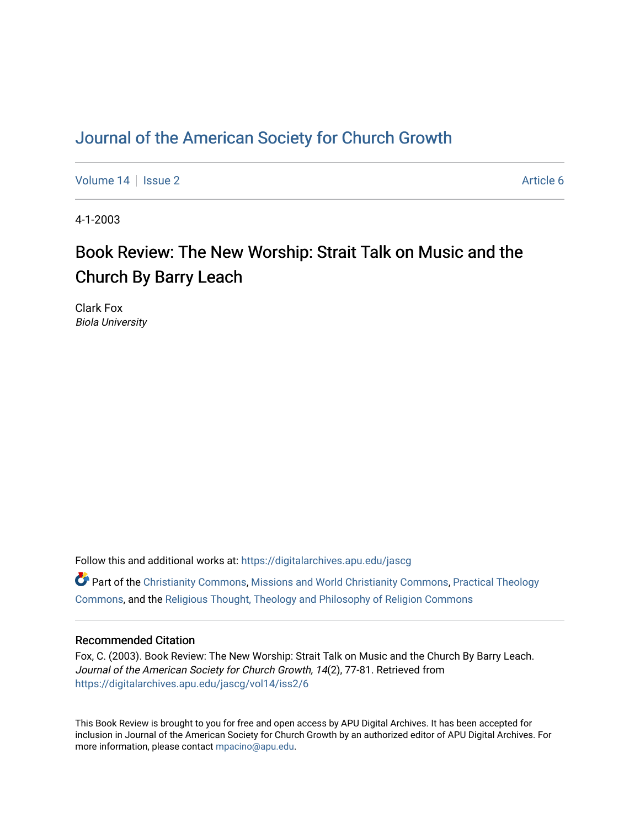### [Journal of the American Society for Church Growth](https://digitalarchives.apu.edu/jascg)

[Volume 14](https://digitalarchives.apu.edu/jascg/vol14) Suitsue 2 Article 6

4-1-2003

# Book Review: The New Worship: Strait Talk on Music and the Church By Barry Leach

Clark Fox Biola University

Follow this and additional works at: [https://digitalarchives.apu.edu/jascg](https://digitalarchives.apu.edu/jascg?utm_source=digitalarchives.apu.edu%2Fjascg%2Fvol14%2Fiss2%2F6&utm_medium=PDF&utm_campaign=PDFCoverPages) 

 $\bullet$  Part of the [Christianity Commons,](http://network.bepress.com/hgg/discipline/1181?utm_source=digitalarchives.apu.edu%2Fjascg%2Fvol14%2Fiss2%2F6&utm_medium=PDF&utm_campaign=PDFCoverPages) [Missions and World Christianity Commons](http://network.bepress.com/hgg/discipline/1187?utm_source=digitalarchives.apu.edu%2Fjascg%2Fvol14%2Fiss2%2F6&utm_medium=PDF&utm_campaign=PDFCoverPages), Practical Theology [Commons](http://network.bepress.com/hgg/discipline/1186?utm_source=digitalarchives.apu.edu%2Fjascg%2Fvol14%2Fiss2%2F6&utm_medium=PDF&utm_campaign=PDFCoverPages), and the [Religious Thought, Theology and Philosophy of Religion Commons](http://network.bepress.com/hgg/discipline/544?utm_source=digitalarchives.apu.edu%2Fjascg%2Fvol14%2Fiss2%2F6&utm_medium=PDF&utm_campaign=PDFCoverPages) 

### Recommended Citation

Fox, C. (2003). Book Review: The New Worship: Strait Talk on Music and the Church By Barry Leach. Journal of the American Society for Church Growth, 14(2), 77-81. Retrieved from [https://digitalarchives.apu.edu/jascg/vol14/iss2/6](https://digitalarchives.apu.edu/jascg/vol14/iss2/6?utm_source=digitalarchives.apu.edu%2Fjascg%2Fvol14%2Fiss2%2F6&utm_medium=PDF&utm_campaign=PDFCoverPages)

This Book Review is brought to you for free and open access by APU Digital Archives. It has been accepted for inclusion in Journal of the American Society for Church Growth by an authorized editor of APU Digital Archives. For more information, please contact [mpacino@apu.edu](mailto:mpacino@apu.edu).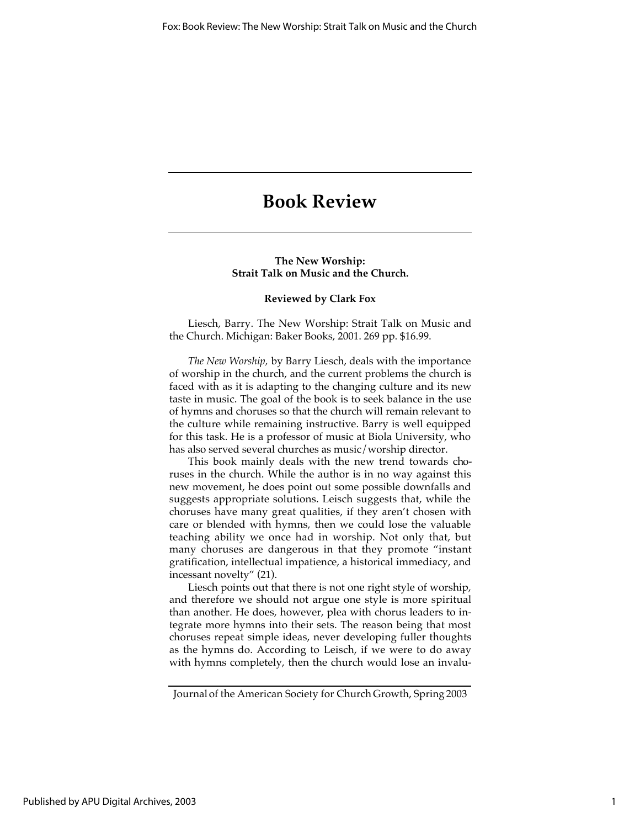## **Book Review**

#### **The New Worship: Strait Talk on Music and the Church.**

#### **Reviewed by Clark Fox**

Liesch, Barry. The New Worship: Strait Talk on Music and the Church. Michigan: Baker Books, 2001. 269 pp. \$16.99.

*The New Worship,* by Barry Liesch, deals with the importance of worship in the church, and the current problems the church is faced with as it is adapting to the changing culture and its new taste in music. The goal of the book is to seek balance in the use of hymns and choruses so that the church will remain relevant to the culture while remaining instructive. Barry is well equipped for this task. He is a professor of music at Biola University, who has also served several churches as music/worship director.

This book mainly deals with the new trend towards choruses in the church. While the author is in no way against this new movement, he does point out some possible downfalls and suggests appropriate solutions. Leisch suggests that, while the choruses have many great qualities, if they aren't chosen with care or blended with hymns, then we could lose the valuable teaching ability we once had in worship. Not only that, but many choruses are dangerous in that they promote "instant gratification, intellectual impatience, a historical immediacy, and incessant novelty" (21).

Liesch points out that there is not one right style of worship, and therefore we should not argue one style is more spiritual than another. He does, however, plea with chorus leaders to integrate more hymns into their sets. The reason being that most choruses repeat simple ideas, never developing fuller thoughts as the hymns do. According to Leisch, if we were to do away with hymns completely, then the church would lose an invalu-

Journal of the American Society for Church Growth, Spring 2003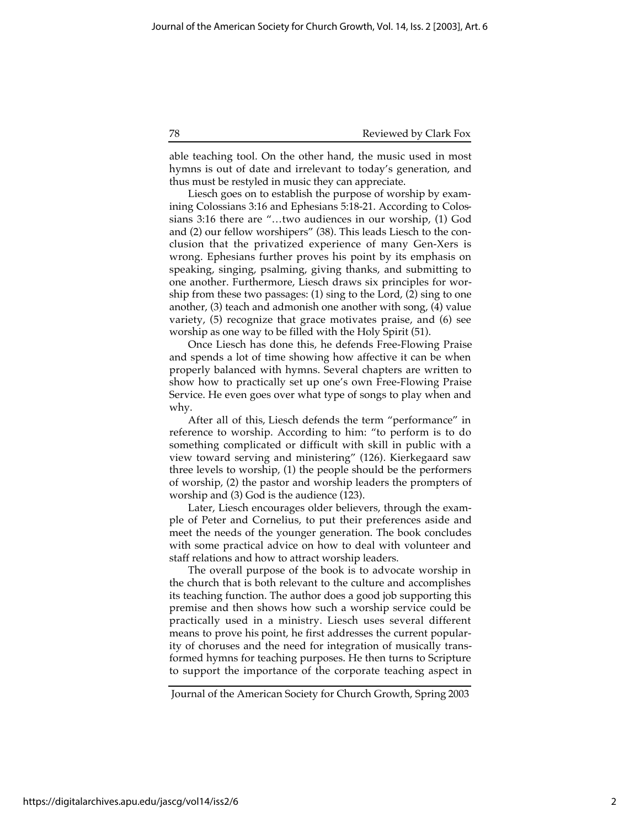#### 78 Reviewed by Clark Fox

able teaching tool. On the other hand, the music used in most hymns is out of date and irrelevant to today's generation, and thus must be restyled in music they can appreciate.

Liesch goes on to establish the purpose of worship by examining Colossians 3:16 and Ephesians 5:18-21. According to Colossians 3:16 there are "…two audiences in our worship, (1) God and (2) our fellow worshipers" (38). This leads Liesch to the conclusion that the privatized experience of many Gen-Xers is wrong. Ephesians further proves his point by its emphasis on speaking, singing, psalming, giving thanks, and submitting to one another. Furthermore, Liesch draws six principles for worship from these two passages: (1) sing to the Lord, (2) sing to one another, (3) teach and admonish one another with song, (4) value variety, (5) recognize that grace motivates praise, and (6) see worship as one way to be filled with the Holy Spirit (51).

Once Liesch has done this, he defends Free-Flowing Praise and spends a lot of time showing how affective it can be when properly balanced with hymns. Several chapters are written to show how to practically set up one's own Free-Flowing Praise Service. He even goes over what type of songs to play when and why.

After all of this, Liesch defends the term "performance" in reference to worship. According to him: "to perform is to do something complicated or difficult with skill in public with a view toward serving and ministering" (126). Kierkegaard saw three levels to worship, (1) the people should be the performers of worship, (2) the pastor and worship leaders the prompters of worship and (3) God is the audience (123).

Later, Liesch encourages older believers, through the example of Peter and Cornelius, to put their preferences aside and meet the needs of the younger generation. The book concludes with some practical advice on how to deal with volunteer and staff relations and how to attract worship leaders.

The overall purpose of the book is to advocate worship in the church that is both relevant to the culture and accomplishes its teaching function. The author does a good job supporting this premise and then shows how such a worship service could be practically used in a ministry. Liesch uses several different means to prove his point, he first addresses the current popularity of choruses and the need for integration of musically transformed hymns for teaching purposes. He then turns to Scripture to support the importance of the corporate teaching aspect in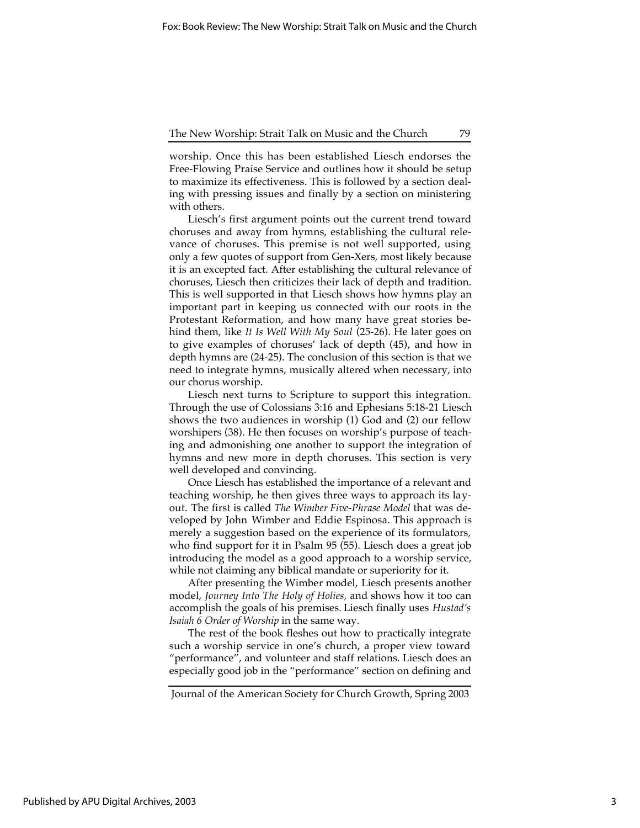#### The New Worship: Strait Talk on Music and the Church 79

worship. Once this has been established Liesch endorses the Free-Flowing Praise Service and outlines how it should be setup to maximize its effectiveness. This is followed by a section dealing with pressing issues and finally by a section on ministering with others.

Liesch's first argument points out the current trend toward choruses and away from hymns, establishing the cultural relevance of choruses. This premise is not well supported, using only a few quotes of support from Gen-Xers, most likely because it is an excepted fact. After establishing the cultural relevance of choruses, Liesch then criticizes their lack of depth and tradition. This is well supported in that Liesch shows how hymns play an important part in keeping us connected with our roots in the Protestant Reformation, and how many have great stories behind them, like *It Is Well With My Soul* (25-26). He later goes on to give examples of choruses' lack of depth (45), and how in depth hymns are (24-25). The conclusion of this section is that we need to integrate hymns, musically altered when necessary, into our chorus worship.

Liesch next turns to Scripture to support this integration. Through the use of Colossians 3:16 and Ephesians 5:18-21 Liesch shows the two audiences in worship (1) God and (2) our fellow worshipers (38). He then focuses on worship's purpose of teaching and admonishing one another to support the integration of hymns and new more in depth choruses. This section is very well developed and convincing.

Once Liesch has established the importance of a relevant and teaching worship, he then gives three ways to approach its layout. The first is called *The Wimber Five-Phrase Model* that was developed by John Wimber and Eddie Espinosa. This approach is merely a suggestion based on the experience of its formulators, who find support for it in Psalm 95 (55). Liesch does a great job introducing the model as a good approach to a worship service, while not claiming any biblical mandate or superiority for it.

After presenting the Wimber model, Liesch presents another model, *Journey Into The Holy of Holies,* and shows how it too can accomplish the goals of his premises. Liesch finally uses *Hustad's Isaiah 6 Order of Worship* in the same way.

The rest of the book fleshes out how to practically integrate such a worship service in one's church, a proper view toward "performance", and volunteer and staff relations. Liesch does an especially good job in the "performance" section on defining and

Journal of the American Society for Church Growth, Spring 2003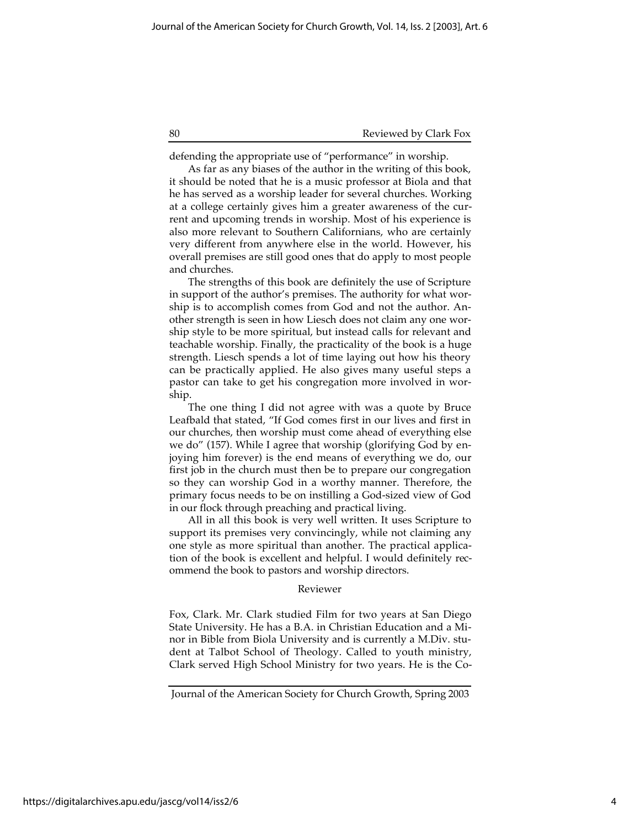#### 80 Reviewed by Clark Fox

defending the appropriate use of "performance" in worship.

As far as any biases of the author in the writing of this book, it should be noted that he is a music professor at Biola and that he has served as a worship leader for several churches. Working at a college certainly gives him a greater awareness of the current and upcoming trends in worship. Most of his experience is also more relevant to Southern Californians, who are certainly very different from anywhere else in the world. However, his overall premises are still good ones that do apply to most people and churches.

The strengths of this book are definitely the use of Scripture in support of the author's premises. The authority for what worship is to accomplish comes from God and not the author. Another strength is seen in how Liesch does not claim any one worship style to be more spiritual, but instead calls for relevant and teachable worship. Finally, the practicality of the book is a huge strength. Liesch spends a lot of time laying out how his theory can be practically applied. He also gives many useful steps a pastor can take to get his congregation more involved in worship.

The one thing I did not agree with was a quote by Bruce Leafbald that stated, "If God comes first in our lives and first in our churches, then worship must come ahead of everything else we do" (157). While I agree that worship (glorifying God by enjoying him forever) is the end means of everything we do, our first job in the church must then be to prepare our congregation so they can worship God in a worthy manner. Therefore, the primary focus needs to be on instilling a God-sized view of God in our flock through preaching and practical living.

All in all this book is very well written. It uses Scripture to support its premises very convincingly, while not claiming any one style as more spiritual than another. The practical application of the book is excellent and helpful. I would definitely recommend the book to pastors and worship directors.

#### Reviewer

Fox, Clark. Mr. Clark studied Film for two years at San Diego State University. He has a B.A. in Christian Education and a Minor in Bible from Biola University and is currently a M.Div. student at Talbot School of Theology. Called to youth ministry, Clark served High School Ministry for two years. He is the Co-

Journal of the American Society for Church Growth, Spring 2003